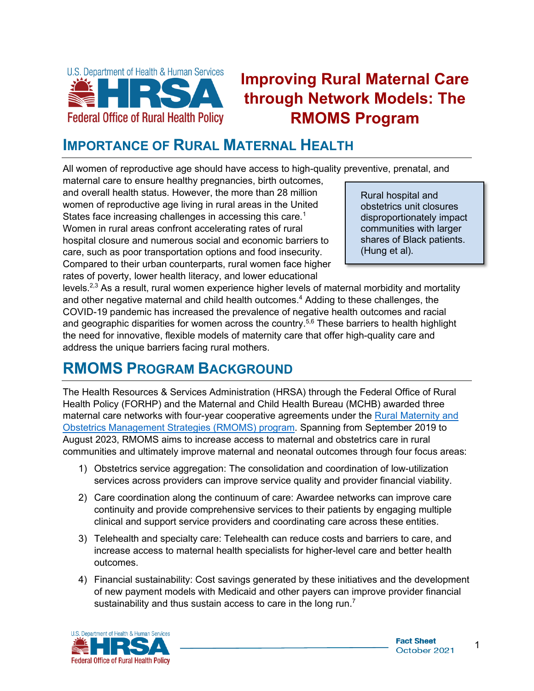

# **Improving Rural Maternal Care through Network Models: The RMOMS Program**

### **IMPORTANCE OF RURAL MATERNAL HEALTH**

All women of reproductive age should have access to high-quality preventive, prenatal, and

 Women in rural areas confront accelerating rates of rural maternal care to ensure healthy pregnancies, birth outcomes, and overall health status. However, the more than 28 million women of reproductive age living in rural areas in the United States face increasing challenges in accessing this care.<sup>1</sup> hospital closure and numerous social and economic barriers to care, such as poor transportation options and food insecurity. Compared to their urban counterparts, rural women face higher rates of poverty, lower health literacy, and lower educational

Rural hospital and obstetrics unit closures disproportionately impact communities with larger shares of Black patients. (Hung et al).

levels.<sup>2,3</sup> As a result, rural women experience higher levels of maternal morbidity and mortality and other negative maternal and child health outcomes.<sup>4</sup> Adding to these challenges, the COVID-19 pandemic has increased the prevalence of negative health outcomes and racial and geographic disparities for women across the country.<sup>5,6</sup> These barriers to health highlight the need for innovative, flexible models of maternity care that offer high-quality care and address the unique barriers facing rural mothers.

### **RMOMS PROGRAM BACKGROUND**

 [Obstetrics Management Strategies \(RMOMS\) program.](https://www.hrsa.gov/grants/find-funding/hrsa-19-094) Spanning from September 2019 to communities and ultimately improve maternal and neonatal outcomes through four focus areas: The Health Resources & Services Administration (HRSA) through the Federal Office of Rural Health Policy (FORHP) and the Maternal and Child Health Bureau (MCHB) awarded three maternal care networks with four-year cooperative agreements under the Rural Maternity and August 2023, RMOMS aims to increase access to maternal and obstetrics care in rural

- 1) Obstetrics service aggregation: The consolidation and coordination of low-utilization services across providers can improve service quality and provider financial viability.
- 2) Care coordination along the continuum of care: Awardee networks can improve care continuity and provide comprehensive services to their patients by engaging multiple clinical and support service providers and coordinating care across these entities.
- 3) Telehealth and specialty care: Telehealth can reduce costs and barriers to care, and increase access to maternal health specialists for higher-level care and better health outcomes.
- Financial sustainability: Cost savings generated by these initiatives and the development 4) of new payment models with Medicaid and other payers can improve provider financial sustainability and thus sustain access to care in the long run.<sup>7</sup>

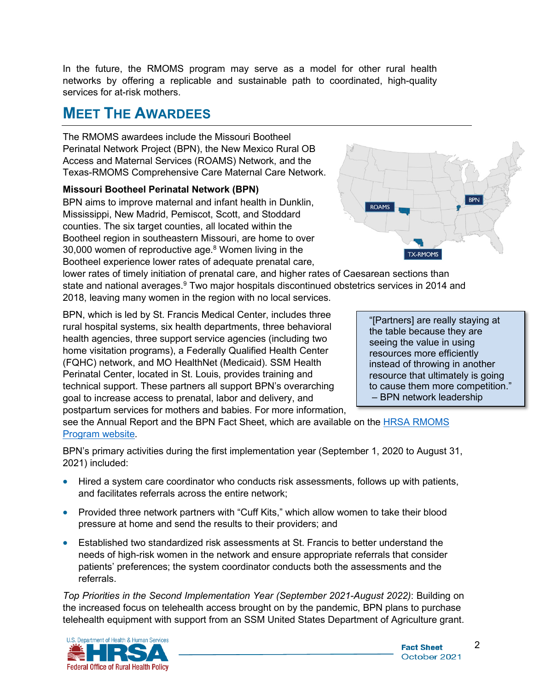In the future, the RMOMS program may serve as a model for other rural health networks by offering a replicable and sustainable path to coordinated, high-quality services for at-risk mothers.

### **MEET THE AWARDEES**

 Perinatal Network Project (BPN), the New Mexico Rural OB The RMOMS awardees include the Missouri Bootheel Access and Maternal Services (ROAMS) Network, and the Texas-RMOMS Comprehensive Care Maternal Care Network.

#### **Missouri Bootheel Perinatal Network (BPN)**

BPN aims to improve maternal and infant health in Dunklin, Mississippi, New Madrid, Pemiscot, Scott, and Stoddard counties. The six target counties, all located within the Bootheel region in southeastern Missouri, are home to over 30,000 women of reproductive age.8 Women living in the Bootheel experience lower rates of adequate prenatal care,

2018, leaving many women in the region with no local services. lower rates of timely initiation of prenatal care, and higher rates of Caesarean sections than state and national averages.<sup>9</sup> Two major hospitals discontinued obstetrics services in 2014 and

2018, leaving many women in the region with no local services.<br>BPN, which is led by St. Francis Medical Center, includes three (FQHC) network, and MO HealthNet (Medicaid). SSM Health postpartum services for mothers and babies. For more information, rural hospital systems, six health departments, three behavioral health agencies, three support service agencies (including two home visitation programs), a Federally Qualified Health Center Perinatal Center, located in St. Louis, provides training and technical support. These partners all support BPN's overarching goal to increase access to prenatal, labor and delivery, and



"[Partners] are really staying at the table because they are seeing the value in using resources more efficiently instead of throwing in another resource that ultimately is going to cause them more competition." – BPN network leadership

see the Annual Report and the BPN Fact Sheet, which are available on the <u>HRSA RMOMS</u> [Program website.](https://www.hrsa.gov/rural-health/community/rmoms)

BPN's primary activities during the first implementation year (September 1, 2020 to August 31, 2021) included:

- Hired a system care coordinator who conducts risk assessments, follows up with patients, and facilitates referrals across the entire network;
- Provided three network partners with "Cuff Kits," which allow women to take their blood pressure at home and send the results to their providers; and
- patients' preferences; the system coordinator conducts both the assessments and the • Established two standardized risk assessments at St. Francis to better understand the needs of high-risk women in the network and ensure appropriate referrals that consider referrals.

*Top Priorities in the Second Implementation Year (September 2021-August 2022)*: Building on the increased focus on telehealth access brought on by the pandemic, BPN plans to purchase telehealth equipment with support from an SSM United States Department of Agriculture grant.



2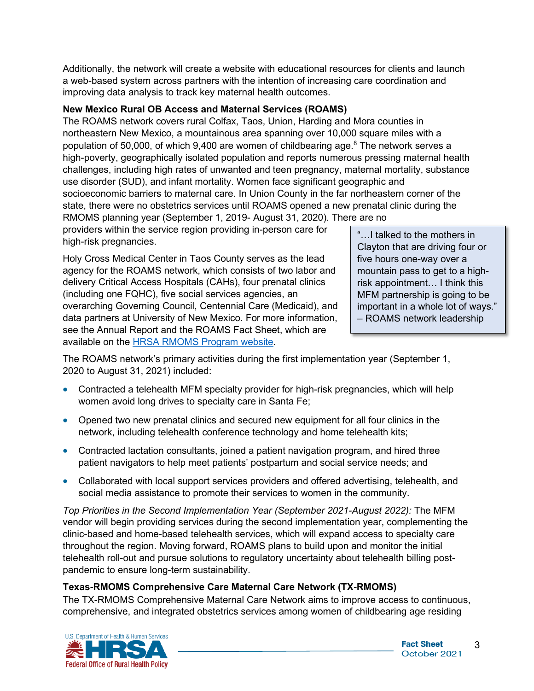Additionally, the network will create a website with educational resources for clients and launch a web-based system across partners with the intention of increasing care coordination and improving data analysis to track key maternal health outcomes.

#### **New Mexico Rural OB Access and Maternal Services (ROAMS)**

The ROAMS network covers rural Colfax, Taos, Union, Harding and Mora counties in northeastern New Mexico, a mountainous area spanning over 10,000 square miles with a population of 50,000, of which 9,400 are women of childbearing age. $8$  The network serves a high-poverty, geographically isolated population and reports numerous pressing maternal health challenges, including high rates of unwanted and teen pregnancy, maternal mortality, substance use disorder (SUD), and infant mortality. Women face significant geographic and socioeconomic barriers to maternal care. In Union County in the far northeastern corner of the state, there were no obstetrics services until ROAMS opened a new prenatal clinic during the RMOMS planning year (September 1, 2019- August 31, 2020). There are no

providers within the service region providing in-person care for high-risk pregnancies.

 Holy Cross Medical Center in Taos County serves as the lead agency for the ROAMS network, which consists of two labor and delivery Critical Access Hospitals (CAHs), four prenatal clinics (including one FQHC), five social services agencies, an overarching Governing Council, Centennial Care (Medicaid), and data partners at University of New Mexico. For more information, see the Annual Report and the ROAMS Fact Sheet, which are available on the [HRSA RMOMS Program website.](https://www.hrsa.gov/rural-health/community/rmoms)

"…I talked to the mothers in Clayton that are driving four or five hours one-way over a mountain pass to get to a highrisk appointment… I think this MFM partnership is going to be important in a whole lot of ways." – ROAMS network leadership

The ROAMS network's primary activities during the first implementation year (September 1, 2020 to August 31, 2021) included:

- Contracted a telehealth MFM specialty provider for high-risk pregnancies, which will help women avoid long drives to specialty care in Santa Fe;
- • Opened two new prenatal clinics and secured new equipment for all four clinics in the network, including telehealth conference technology and home telehealth kits;
- Contracted lactation consultants, joined a patient navigation program, and hired three patient navigators to help meet patients' postpartum and social service needs; and
- Collaborated with local support services providers and offered advertising, telehealth, and social media assistance to promote their services to women in the community.

 throughout the region. Moving forward, ROAMS plans to build upon and monitor the initial *Top Priorities in the Second Implementation Year (September 2021-August 2022):* The MFM vendor will begin providing services during the second implementation year, complementing the clinic-based and home-based telehealth services, which will expand access to specialty care telehealth roll-out and pursue solutions to regulatory uncertainty about telehealth billing postpandemic to ensure long-term sustainability.

#### **Texas-RMOMS Comprehensive Care Maternal Care Network (TX-RMOMS)**

The TX-RMOMS Comprehensive Maternal Care Network aims to improve access to continuous, comprehensive, and integrated obstetrics services among women of childbearing age residing

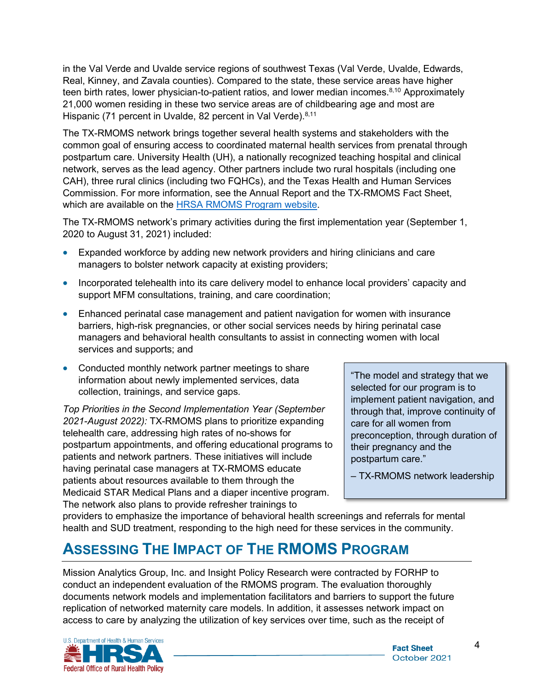teen birth rates, lower physician-to-patient ratios, and lower median incomes.<sup>8,10</sup> Approximately Hispanic (71 percent in Uvalde, 82 percent in Val Verde).<sup>8,11</sup> in the Val Verde and Uvalde service regions of southwest Texas (Val Verde, Uvalde, Edwards, Real, Kinney, and Zavala counties). Compared to the state, these service areas have higher 21,000 women residing in these two service areas are of childbearing age and most are

The TX-RMOMS network brings together several health systems and stakeholders with the common goal of ensuring access to coordinated maternal health services from prenatal through postpartum care. University Health (UH), a nationally recognized teaching hospital and clinical network, serves as the lead agency. Other partners include two rural hospitals (including one CAH), three rural clinics (including two FQHCs), and the Texas Health and Human Services Commission. For more information, see the Annual Report and the TX-RMOMS Fact Sheet, which are available on the [HRSA RMOMS Program website.](https://www.hrsa.gov/rural-health/community/rmoms)

The TX-RMOMS network's primary activities during the first implementation year (September 1, 2020 to August 31, 2021) included:

- Expanded workforce by adding new network providers and hiring clinicians and care managers to bolster network capacity at existing providers;
- Incorporated telehealth into its care delivery model to enhance local providers' capacity and support MFM consultations, training, and care coordination;
- Enhanced perinatal case management and patient navigation for women with insurance barriers, high-risk pregnancies, or other social services needs by hiring perinatal case managers and behavioral health consultants to assist in connecting women with local services and supports; and
- Conducted monthly network partner meetings to share information about newly implemented services, data collection, trainings, and service gaps.

 The network also plans to provide refresher trainings to *Top Priorities in the Second Implementation Year (September 2021-August 2022):* TX-RMOMS plans to prioritize expanding telehealth care, addressing high rates of no-shows for postpartum appointments, and offering educational programs to patients and network partners. These initiatives will include having perinatal case managers at TX-RMOMS educate patients about resources available to them through the Medicaid STAR Medical Plans and a diaper incentive program.

"The model and strategy that we selected for our program is to implement patient navigation, and through that, improve continuity of care for all women from preconception, through duration of their pregnancy and the postpartum care."

– TX-RMOMS network leadership

 providers to emphasize the importance of behavioral health screenings and referrals for mental health and SUD treatment, responding to the high need for these services in the community.

## **ASSESSING THE IMPACT OF THE RMOMS PROGRAM**

 Mission Analytics Group, Inc. and Insight Policy Research were contracted by FORHP to conduct an independent evaluation of the RMOMS program. The evaluation thoroughly documents network models and implementation facilitators and barriers to support the future replication of networked maternity care models. In addition, it assesses network impact on access to care by analyzing the utilization of key services over time, such as the receipt of

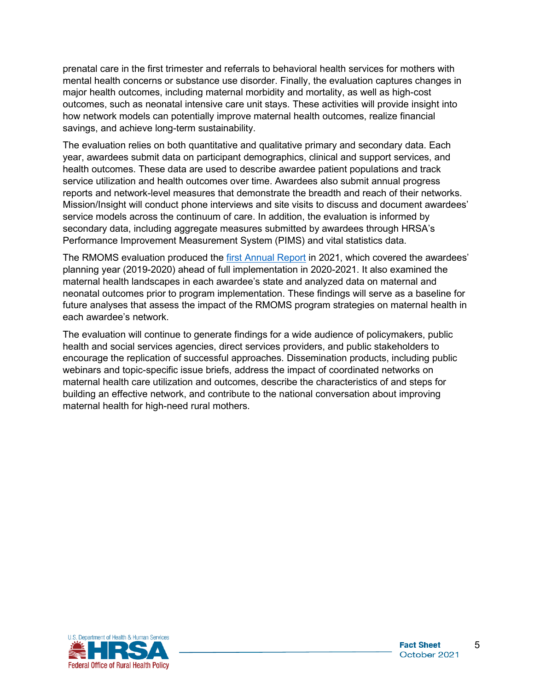mental health concerns or substance use disorder. Finally, the evaluation captures changes in prenatal care in the first trimester and referrals to behavioral health services for mothers with major health outcomes, including maternal morbidity and mortality, as well as high-cost outcomes, such as neonatal intensive care unit stays. These activities will provide insight into how network models can potentially improve maternal health outcomes, realize financial savings, and achieve long-term sustainability.

 Mission/Insight will conduct phone interviews and site visits to discuss and document awardees' The evaluation relies on both quantitative and qualitative primary and secondary data. Each year, awardees submit data on participant demographics, clinical and support services, and health outcomes. These data are used to describe awardee patient populations and track service utilization and health outcomes over time. Awardees also submit annual progress reports and network-level measures that demonstrate the breadth and reach of their networks. service models across the continuum of care. In addition, the evaluation is informed by secondary data, including aggregate measures submitted by awardees through HRSA's Performance Improvement Measurement System (PIMS) and vital statistics data.

The RMOMS evaluation produced the [first Annual Report](https://www.hrsa.gov/sites/default/files/hrsa/ruralhealth/2021-rmoms-annual-report.pdf) in 2021, which covered the awardees' planning year (2019-2020) ahead of full implementation in 2020-2021. It also examined the maternal health landscapes in each awardee's state and analyzed data on maternal and neonatal outcomes prior to program implementation. These findings will serve as a baseline for future analyses that assess the impact of the RMOMS program strategies on maternal health in each awardee's network.

maternal health for high-need rural mothers. The evaluation will continue to generate findings for a wide audience of policymakers, public health and social services agencies, direct services providers, and public stakeholders to encourage the replication of successful approaches. Dissemination products, including public webinars and topic-specific issue briefs, address the impact of coordinated networks on maternal health care utilization and outcomes, describe the characteristics of and steps for building an effective network, and contribute to the national conversation about improving maternal health for high-need rural mothers.<br>
U.S. Department of Heillin & Human Sirvices<br>  $\frac{\sqrt{26}}{24}$  **For all and Sirvices**